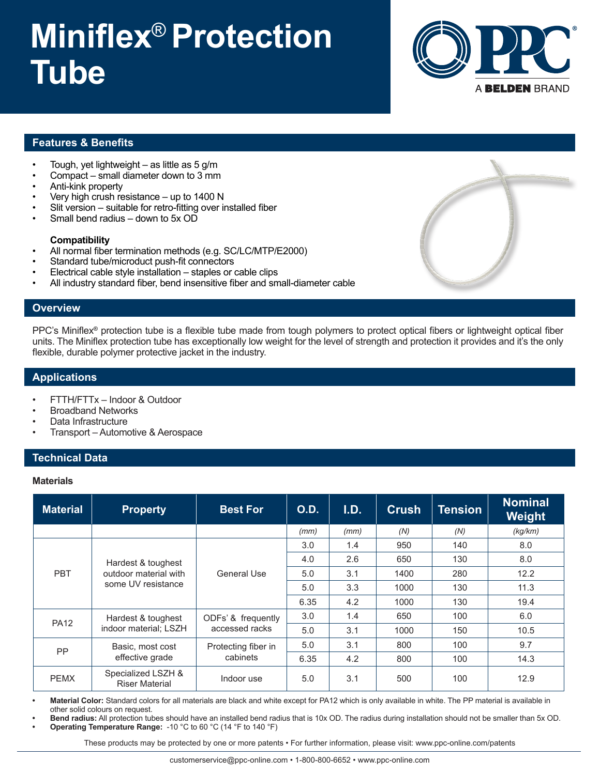# **Miniflex**® **Protection Tube**



## **Features & Benefits**

- Tough, yet lightweight as little as  $5$  g/m
- Compact small diameter down to 3 mm
- Anti-kink property
- Very high crush resistance  $-$  up to 1400 N
- Slit version suitable for retro-fitting over installed fiber
- Small bend radius  $-$  down to 5x OD

#### **Compatibility**

- All normal fiber termination methods (e.g. SC/LC/MTP/E2000)
- Standard tube/microduct push-fit connectors
- Electrical cable style installation staples or cable clips
- All industry standard fiber, bend insensitive fiber and small-diameter cable

#### **Overview**

PPC's Miniflex® protection tube is a flexible tube made from tough polymers to protect optical fibers or lightweight optical fiber units. The Miniflex protection tube has exceptionally low weight for the level of strength and protection it provides and it's the only flexible, durable polymer protective jacket in the industry.

### **Applications**

- FTTH/FTTx Indoor & Outdoor
- Broadband Networks
- Data Infrastructure
- Transport Automotive & Aerospace

### **Technical Data**

#### **Materials**

| <b>Material</b> | <b>Property</b>                                                   | <b>Best For</b>                      | <b>O.D.</b> | I.D. | <b>Crush</b> | Tension | <b>Nominal</b><br>Weight |
|-----------------|-------------------------------------------------------------------|--------------------------------------|-------------|------|--------------|---------|--------------------------|
|                 |                                                                   |                                      | (mm)        | (mm) | (N)          | (N)     | (kq/km)                  |
| <b>PBT</b>      | Hardest & toughest<br>outdoor material with<br>some UV resistance | General Use                          | 3.0         | 1.4  | 950          | 140     | 8.0                      |
|                 |                                                                   |                                      | 4.0         | 2.6  | 650          | 130     | 8.0                      |
|                 |                                                                   |                                      | 5.0         | 3.1  | 1400         | 280     | 12.2                     |
|                 |                                                                   |                                      | 5.0         | 3.3  | 1000         | 130     | 11.3                     |
|                 |                                                                   |                                      | 6.35        | 4.2  | 1000         | 130     | 19.4                     |
| <b>PA12</b>     | Hardest & toughest<br>indoor material; LSZH                       | ODFs' & frequently<br>accessed racks | 3.0         | 1.4  | 650          | 100     | 6.0                      |
|                 |                                                                   |                                      | 5.0         | 3.1  | 1000         | 150     | 10.5                     |
| <b>PP</b>       | Basic, most cost<br>effective grade                               | Protecting fiber in<br>cabinets      | 5.0         | 3.1  | 800          | 100     | 9.7                      |
|                 |                                                                   |                                      | 6.35        | 4.2  | 800          | 100     | 14.3                     |
| <b>PEMX</b>     | Specialized LSZH &<br><b>Riser Material</b>                       | Indoor use                           | 5.0         | 3.1  | 500          | 100     | 12.9                     |

**• Material Color:** Standard colors for all materials are black and white except for PA12 which is only available in white. The PP material is available in other solid colours on request.

**• Bend radius:** All protection tubes should have an installed bend radius that is 10x OD. The radius during installation should not be smaller than 5x OD. **• Operating Temperature Range:** -10 °C to 60 °C (14 °F to 140 °F)

These products may be protected by one or more patents • For further information, please visit: www.ppc-online.com/patents